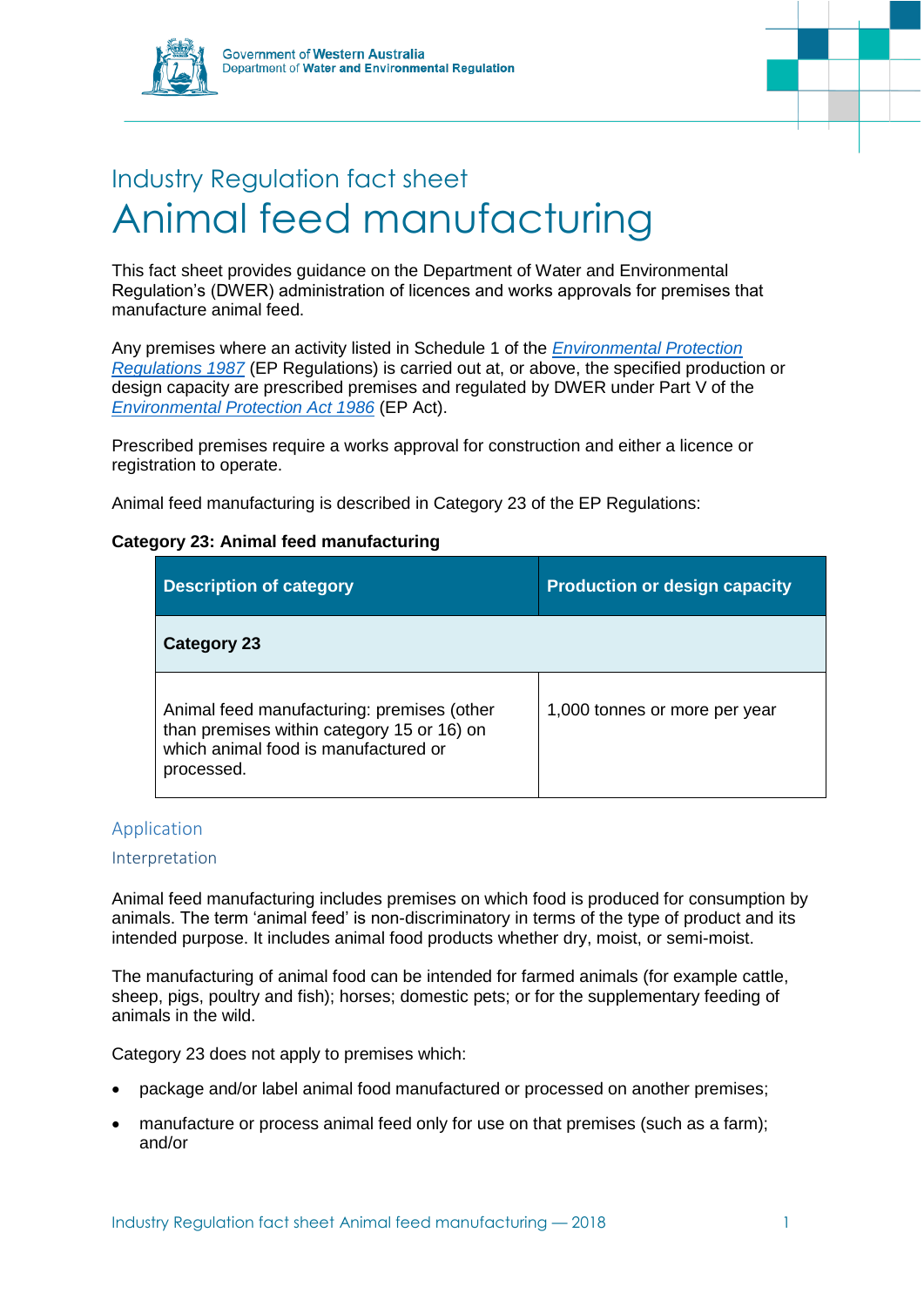



# Industry Regulation fact sheet Animal feed manufacturing

This fact sheet provides guidance on the Department of Water and Environmental Regulation's (DWER) administration of licences and works approvals for premises that manufacture animal feed.

Any premises where an activity listed in Schedule 1 of the *[Environmental Protection](https://www.slp.wa.gov.au/legislation/statutes.nsf/main_mrtitle_1400_homepage.html)  [Regulations 1987](https://www.slp.wa.gov.au/legislation/statutes.nsf/main_mrtitle_1400_homepage.html)* (EP Regulations) is carried out at, or above, the specified production or design capacity are prescribed premises and regulated by DWER under Part V of the *[Environmental Protection Act 1986](https://www.slp.wa.gov.au/legislation/statutes.nsf/main_mrtitle_304_homepage.html)* (EP Act).

Prescribed premises require a works approval for construction and either a licence or registration to operate.

Animal feed manufacturing is described in Category 23 of the EP Regulations:

# **Category 23: Animal feed manufacturing**

| <b>Description of category</b>                                                                                                                 | <b>Production or design capacity</b> |
|------------------------------------------------------------------------------------------------------------------------------------------------|--------------------------------------|
| Category 23                                                                                                                                    |                                      |
| Animal feed manufacturing: premises (other<br>than premises within category 15 or 16) on<br>which animal food is manufactured or<br>processed. | 1,000 tonnes or more per year        |

# Application

### Interpretation

Animal feed manufacturing includes premises on which food is produced for consumption by animals. The term 'animal feed' is non-discriminatory in terms of the type of product and its intended purpose. It includes animal food products whether dry, moist, or semi-moist.

The manufacturing of animal food can be intended for farmed animals (for example cattle, sheep, pigs, poultry and fish); horses; domestic pets; or for the supplementary feeding of animals in the wild.

Category 23 does not apply to premises which:

- package and/or label animal food manufactured or processed on another premises;
- manufacture or process animal feed only for use on that premises (such as a farm); and/or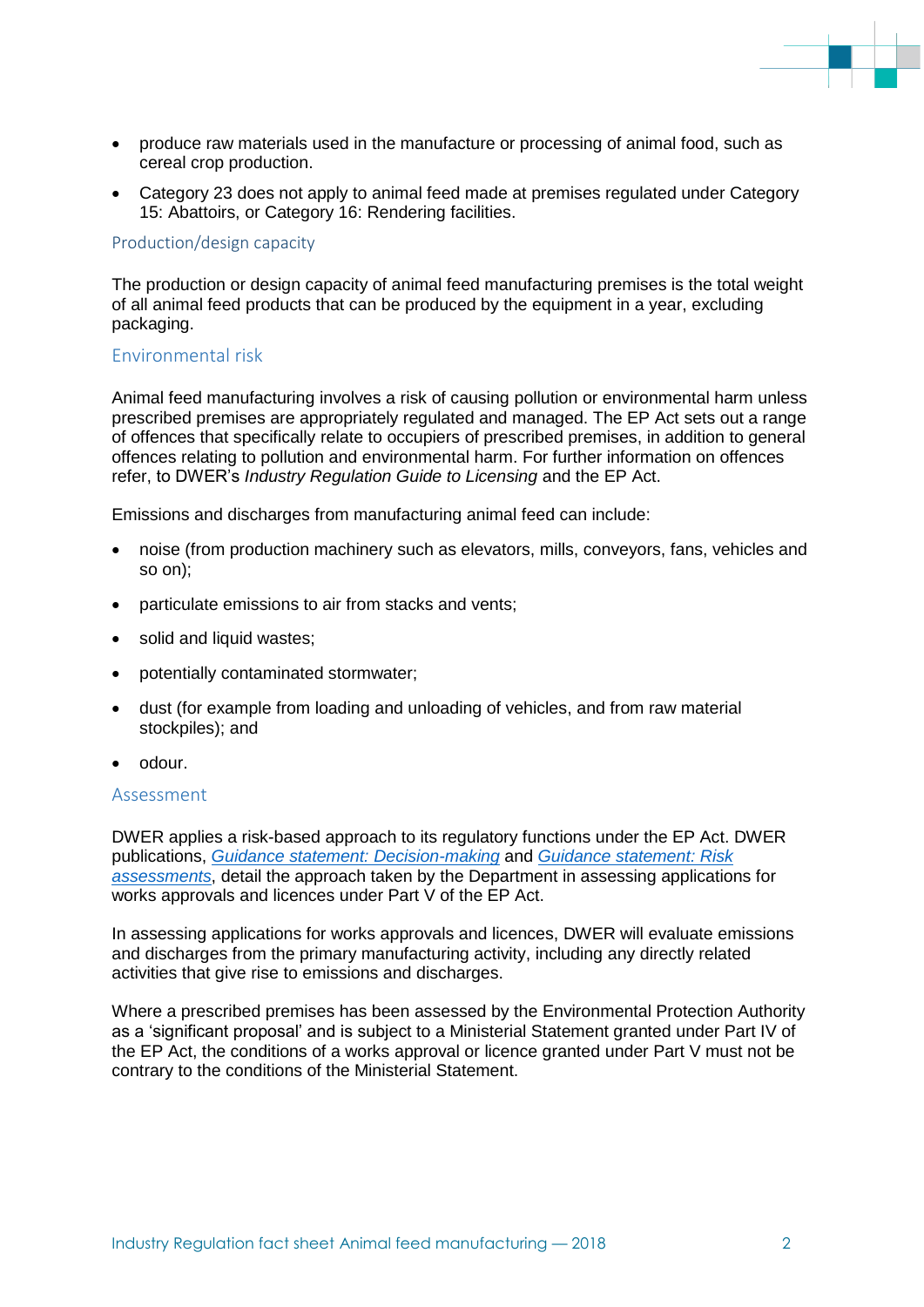- produce raw materials used in the manufacture or processing of animal food, such as cereal crop production.
- Category 23 does not apply to animal feed made at premises regulated under Category 15: Abattoirs, or Category 16: Rendering facilities.

#### Production/design capacity

The production or design capacity of animal feed manufacturing premises is the total weight of all animal feed products that can be produced by the equipment in a year, excluding packaging.

#### Environmental risk

Animal feed manufacturing involves a risk of causing pollution or environmental harm unless prescribed premises are appropriately regulated and managed. The EP Act sets out a range of offences that specifically relate to occupiers of prescribed premises, in addition to general offences relating to pollution and environmental harm. For further information on offences refer, to DWER's *Industry Regulation Guide to Licensing* and the EP Act.

Emissions and discharges from manufacturing animal feed can include:

- noise (from production machinery such as elevators, mills, conveyors, fans, vehicles and so on);
- particulate emissions to air from stacks and vents;
- solid and liquid wastes;
- potentially contaminated stormwater;
- dust (for example from loading and unloading of vehicles, and from raw material stockpiles); and
- odour.

#### Assessment

DWER applies a risk-based approach to its regulatory functions under the EP Act. DWER publications, *[Guidance statement: Decision-making](https://www.der.wa.gov.au/images/documents/our-work/licences-and-works-approvals/GS_Decision_Making.pdf)* and *[Guidance statement: Risk](https://www.der.wa.gov.au/images/documents/our-work/licences-and-works-approvals/GS_Risk_Assessments.pdf)  [assessments](https://www.der.wa.gov.au/images/documents/our-work/licences-and-works-approvals/GS_Risk_Assessments.pdf)*, detail the approach taken by the Department in assessing applications for works approvals and licences under Part V of the EP Act.

In assessing applications for works approvals and licences, DWER will evaluate emissions and discharges from the primary manufacturing activity, including any directly related activities that give rise to emissions and discharges.

Where a prescribed premises has been assessed by the Environmental Protection Authority as a 'significant proposal' and is subject to a Ministerial Statement granted under Part IV of the EP Act, the conditions of a works approval or licence granted under Part V must not be contrary to the conditions of the Ministerial Statement.